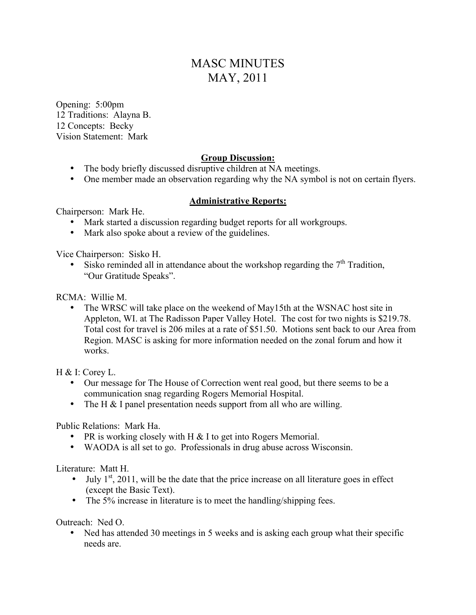# MASC MINUTES MAY, 2011

Opening: 5:00pm 12 Traditions: Alayna B. 12 Concepts: Becky Vision Statement: Mark

# **Group Discussion:**

- The body briefly discussed disruptive children at NA meetings.
- One member made an observation regarding why the NA symbol is not on certain flyers.

#### **Administrative Reports:**

Chairperson: Mark He.

- Mark started a discussion regarding budget reports for all workgroups.
- Mark also spoke about a review of the guidelines.

Vice Chairperson: Sisko H.

• Sisko reminded all in attendance about the workshop regarding the  $7<sup>th</sup>$  Tradition. "Our Gratitude Speaks".

RCMA: Willie M.

• The WRSC will take place on the weekend of May15th at the WSNAC host site in Appleton, WI. at The Radisson Paper Valley Hotel. The cost for two nights is \$219.78. Total cost for travel is 206 miles at a rate of \$51.50. Motions sent back to our Area from Region. MASC is asking for more information needed on the zonal forum and how it works.

H & I: Corey L.

- Our message for The House of Correction went real good, but there seems to be a communication snag regarding Rogers Memorial Hospital.
- The H & I panel presentation needs support from all who are willing.

Public Relations: Mark Ha.

- PR is working closely with H & I to get into Rogers Memorial.
- WAODA is all set to go. Professionals in drug abuse across Wisconsin.

Literature: Matt H.

- July  $1<sup>st</sup>$ , 2011, will be the date that the price increase on all literature goes in effect (except the Basic Text).
- The 5% increase in literature is to meet the handling/shipping fees.

Outreach: Ned O.

• Ned has attended 30 meetings in 5 weeks and is asking each group what their specific needs are.